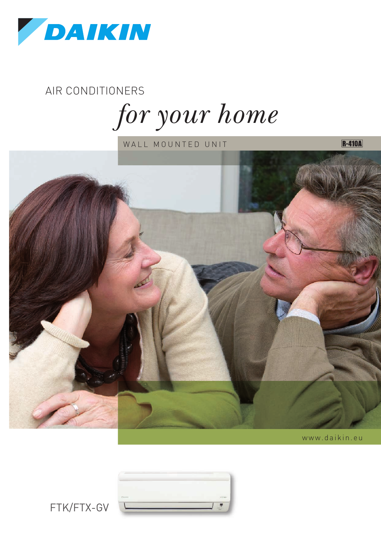

AIR CONDITIONERS

 $for your home$ 

WALL MOUNTED UNIT



www.daikin.eu

**R-410A** 



FTK/FTX-GV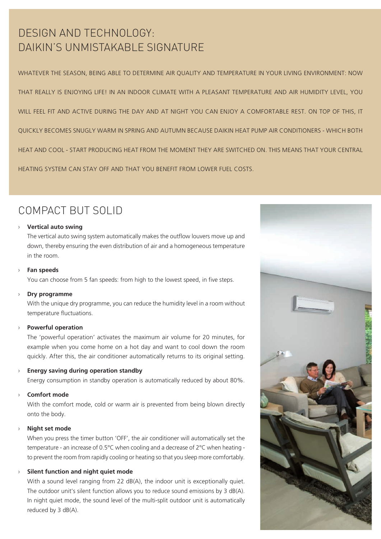## DESIGN AND TECHNOLOGY: DAIKIN'S UNMISTAKABLE SIGNATURE

WHATEVER THE SEASON, BEING ABLE TO DETERMINE AIR QUALITY AND TEMPERATURE IN YOUR LIVING ENVIRONMENT: NOW THAT REALLY IS ENJOYING LIFE! IN AN INDOOR CLIMATE WITH A PLEASANT TEMPERATURE AND AIR HUMIDITY LEVEL, YOU WILL FEEL FIT AND ACTIVE DURING THE DAY AND AT NIGHT YOU CAN ENJOY A COMFORTABLE REST. ON TOP OF THIS, IT QUICKLY BECOMES SNUGLY WARM IN SPRING AND AUTUMN BECAUSE DAIKIN HEAT PUMP AIR CONDITIONERS - WHICH BOTH HEAT AND COOL - START PRODUCING HEAT FROM THE MOMENT THEY ARE SWITCHED ON. THIS MEANS THAT YOUR CENTRAL HEATING SYSTEM CAN STAY OFF AND THAT YOU BENEFIT FROM LOWER FUEL COSTS.

## COMPACT BUT SOLID

#### **Vertical auto swing** ›

The vertical auto swing system automatically makes the outflow louvers move up and down, thereby ensuring the even distribution of air and a homogeneous temperature in the room.

#### **Fan speeds** ›

You can choose from 5 fan speeds: from high to the lowest speed, in five steps.

#### **Dry programme** ›

With the unique dry programme, you can reduce the humidity level in a room without temperature fluctuations.

#### **Powerful operation** ›

The 'powerful operation' activates the maximum air volume for 20 minutes, for example when you come home on a hot day and want to cool down the room quickly. After this, the air conditioner automatically returns to its original setting.

#### **Energy saving during operation standby** ›

Energy consumption in standby operation is automatically reduced by about 80%.

#### **Comfort mode** ›

With the comfort mode, cold or warm air is prevented from being blown directly onto the body.

#### **Night set mode** ›

When you press the timer button 'OFF', the air conditioner will automatically set the temperature - an increase of 0.5°C when cooling and a decrease of 2°C when heating to prevent the room from rapidly cooling or heating so that you sleep more comfortably.

#### **Silent function and night quiet mode** ›

With a sound level ranging from 22 dB(A), the indoor unit is exceptionally quiet. The outdoor unit's silent function allows you to reduce sound emissions by 3 dB(A). In night quiet mode, the sound level of the multi-split outdoor unit is automatically reduced by 3 dB(A).

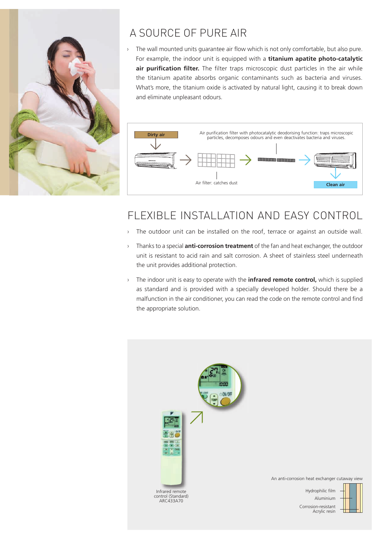

## A SOURCE OF PURE AIR

The wall mounted units guarantee air flow which is not only comfortable, but also pure. For example, the indoor unit is equipped with a **titanium apatite photo-catalytic air purification filter.** The filter traps microscopic dust particles in the air while the titanium apatite absorbs organic contaminants such as bacteria and viruses. What's more, the titanium oxide is activated by natural light, causing it to break down and eliminate unpleasant odours. ›



## FLEXIBLE INSTALLATION AND EASY CONTROL

- The outdoor unit can be installed on the roof, terrace or against an outside wall. ›
- Thanks to a special **anti-corrosion treatment** of the fan and heat exchanger, the outdoor › unit is resistant to acid rain and salt corrosion. A sheet of stainless steel underneath the unit provides additional protection.
- The indoor unit is easy to operate with the **infrared remote control,** which is supplied as standard and is provided with a specially developed holder. Should there be a malfunction in the air conditioner, you can read the code on the remote control and find the appropriate solution. ›

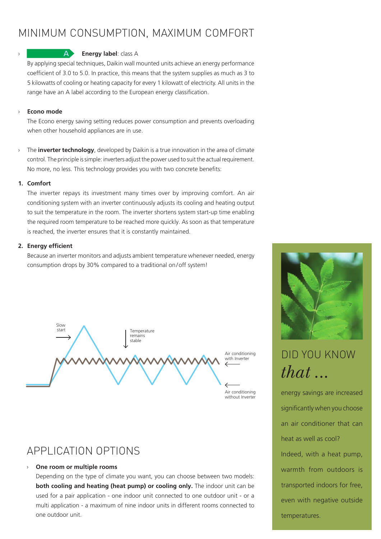## MINIMUM CONSUMPTION, MAXIMUM COMFORT



#### **Energy label**: class A

**A** 

By applying special techniques, Daikin wall mounted units achieve an energy performance coefficient of 3.0 to 5.0. In practice, this means that the system supplies as much as 3 to 5 kilowatts of cooling or heating capacity for every 1 kilowatt of electricity. All units in the range have an A label according to the European energy classification.

#### **Econo mode** ›

The Econo energy saving setting reduces power consumption and prevents overloading when other household appliances are in use.

The **inverter technology**, developed by Daikin is a true innovation in the area of climate control. The principle is simple: inverters adjust the power used to suit the actual requirement. No more, no less. This technology provides you with two concrete benefits: ›

#### **1. Comfort**

The inverter repays its investment many times over by improving comfort. An air conditioning system with an inverter continuously adjusts its cooling and heating output to suit the temperature in the room. The inverter shortens system start-up time enabling the required room temperature to be reached more quickly. As soon as that temperature is reached, the inverter ensures that it is constantly maintained.

#### **2. Energy efficient**

Because an inverter monitors and adjusts ambient temperature whenever needed, energy consumption drops by 30% compared to a traditional on/off system!



APPLICATION OPTIONS

#### **One room or multiple rooms** ›

Depending on the type of climate you want, you can choose between two models: **both cooling and heating (heat pump) or cooling only.** The indoor unit can be used for a pair application - one indoor unit connected to one outdoor unit - or a multi application - a maximum of nine indoor units in different rooms connected to one outdoor unit.



# DID YOU KNOW  $that...$

energy savings are increased significantly when you choose an air conditioner that can heat as well as cool? Indeed, with a heat pump, warmth from outdoors is transported indoors for free, even with negative outside temperatures.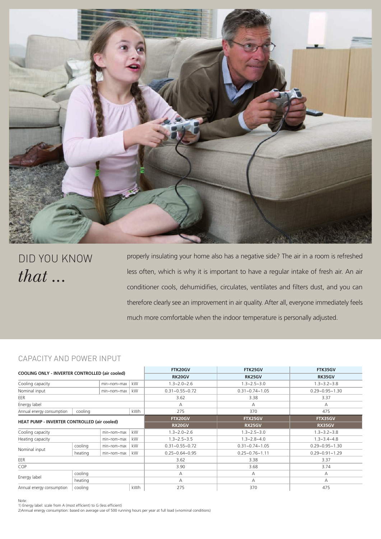

DID YOU KNOW  $that...$ 

properly insulating your home also has a negative side? The air in a room is refreshed less often, which is why it is important to have a regular intake of fresh air. An air conditioner cools, dehumidifies, circulates, ventilates and filters dust, and you can therefore clearly see an improvement in air quality. After all, everyone immediately feels much more comfortable when the indoor temperature is personally adjusted.

#### CAPACITY AND POWER INPUT

| COOLING ONLY - INVERTER CONTROLLED (air cooled) |                |                |               | FTK20GV              | FTK25GV              | FTK35GV              |
|-------------------------------------------------|----------------|----------------|---------------|----------------------|----------------------|----------------------|
|                                                 |                |                |               | RK20GV               | <b>RK25GV</b>        | RK35GV               |
| kW.<br>Cooling capacity<br>min~nom~max          |                |                |               | $1.3 - 2.0 - 2.6$    | $1.3 - 2.5 - 3.0$    | $1.3 - 3.2 - 3.8$    |
| kW<br>Nominal input<br>min~nom~max              |                |                |               | $0.31 - 0.55 - 0.72$ | $0.31 - 0.74 - 1.05$ | $0.29 - 0.95 - 1.30$ |
| EER                                             |                |                |               | 3.62                 | 3.38                 | 3.37                 |
| Energy label                                    |                |                |               | А                    | A                    | A                    |
| Annual energy consumption                       | cooling        |                | kWh           | 275                  | 370                  | 475                  |
| HEAT PUMP - INVERTER CONTROLLED (air cooled)    |                | FTX20GV        | FTX25GV       | FTX35GV              |                      |                      |
|                                                 |                | <b>RX20GV</b>  | <b>RX25GV</b> | RX35GV               |                      |                      |
| kW<br>Cooling capacity<br>min~nom~max           |                |                |               | $1.3 - 2.0 - 2.6$    | $1.3 - 2.5 - 3.0$    | $1.3 - 3.2 - 3.8$    |
| kW<br>Heating capacity<br>$min$ ~nom~max        |                |                |               | $1.3 - 2.5 - 3.5$    | $1.3 - 2.8 - 4.0$    | $1.3 - 3.4 - 4.8$    |
|                                                 | cooling        | min~nom~max    | kW            | $0.31 - 0.55 - 0.72$ | $0.31 - 0.74 - 1.05$ | $0.29 - 0.95 - 1.30$ |
| Nominal input                                   | heating        | $min$ ~nom~max | kW            | $0.25 - 0.64 - 0.95$ | $0.25 - 0.76 - 1.11$ | $0.29 - 0.91 - 1.29$ |
| EER                                             |                |                |               | 3.62                 | 3.38                 | 3.37                 |
| COP                                             |                |                |               | 3.90                 | 3.68                 | 3.74                 |
|                                                 | cooling        |                |               | А                    | A                    | А                    |
| Energy label                                    | heating        |                |               | A                    | А                    | А                    |
| Annual energy consumption                       | kWh<br>cooling |                |               | 275                  | 370                  | 475                  |

Note:

1) Energy label: scale from A (most efficient) to G (less efficient)

2)Annual energy consumption: based on average use of 500 running hours per year at full load (=nominal conditions)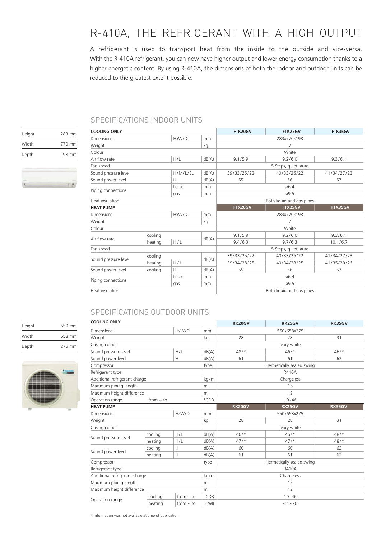## R-410A, THE REFRIGERANT WITH A HIGH OUTPUT

A refrigerant is used to transport heat from the inside to the outside and vice-versa. With the R-410A refrigerant, you can now have higher output and lower energy consumption thanks to a higher energetic content. By using R-410A, the dimensions of both the indoor and outdoor units can be reduced to the greatest extent possible.

**College** 

#### SPECIFICATIONS INDOOR UNITS

| Height | 283 mm |
|--------|--------|
| Width  | 770 mm |
| Depth  | 198 mm |
|        |        |

| <b>COOLING ONLY</b>                             |         |          |         | FTK20GV                   | FTK25GV     | FTK35GV     |  |
|-------------------------------------------------|---------|----------|---------|---------------------------|-------------|-------------|--|
| <b>HxWxD</b><br><b>Dimensions</b>               |         |          | mm      | 283x770x198               |             |             |  |
| Weight                                          |         |          | kg      | 7                         |             |             |  |
| Colour                                          |         |          |         | White                     |             |             |  |
| Air flow rate                                   |         | H/L      | dB(A)   | 9.1/5.9                   | 9.2/6.0     | 9.3/6.1     |  |
| Fan speed                                       |         |          |         | 5 Steps, quiet, auto      |             |             |  |
| Sound pressure level                            |         | H/M/L/SL | dB(A)   | 39/33/25/22               | 40/33/26/22 | 41/34/27/23 |  |
| Sound power level                               |         | Н        | dB(A)   | 55                        | 56          | 57          |  |
|                                                 |         | liquid   | mm      | 06.4                      |             |             |  |
| Piping connections                              |         | gas      | mm      | ø9.5                      |             |             |  |
| Heat insulation                                 |         |          |         | Both liquid and gas pipes |             |             |  |
| <b>HEAT PUMP</b>                                |         |          | FTX20GV | FTX25GV                   | FTX35GV     |             |  |
| <b>HxWxD</b><br><b>Dimensions</b>               |         |          | mm      | 283x770x198               |             |             |  |
| Weight                                          |         |          | kg      | 7                         |             |             |  |
| Colour                                          |         |          |         |                           | White       |             |  |
| cooling                                         |         |          |         | 9.1/5.9                   | 9.2/6.0     | 9.3/6.1     |  |
| Air flow rate                                   | heating | H/L      | dB(A)   | 9.4/6.3                   | 9.7/6.3     | 10.1/6.7    |  |
| Fan speed                                       |         |          |         | 5 Steps, quiet, auto      |             |             |  |
|                                                 | cooling |          |         | 39/33/25/22               | 40/33/26/22 | 41/34/27/23 |  |
| Sound pressure level                            | heating | H/L      | dB(A)   | 39/34/28/25               | 40/34/28/25 | 41/35/29/26 |  |
| Sound power level                               | cooling | H        | dB(A)   | 55                        | 56          | 57          |  |
| liquid<br>mm<br>Piping connections<br>gas<br>mm |         |          | ø6.4    |                           |             |             |  |
|                                                 |         |          |         | ø9.5                      |             |             |  |
| Heat insulation                                 |         |          |         | Both liquid and gas pipes |             |             |  |

### SPECIFICATIONS OUTDOOR UNITS

| Height | 550 mm |
|--------|--------|
| Width  | 658 mm |
| Depth  | 275 mm |



| <b>COOLING ONLY</b>                   |         |                |               | <b>RK20GV</b>             | <b>RK25GV</b> | <b>RK35GV</b> |  |
|---------------------------------------|---------|----------------|---------------|---------------------------|---------------|---------------|--|
| <b>Dimensions</b><br><b>HxWxD</b>     |         |                | mm            | 550x658x275               |               |               |  |
| Weight                                |         |                | kg            | 28                        | 28            | 31            |  |
| Casing colour                         |         |                |               | Ivory white               |               |               |  |
| Sound pressure level                  |         | H/L            | dB(A)         | 48/                       | 46/           | $46/$ *       |  |
| Sound power level                     |         | Н              | dB(A)         | 61                        | 61            | 62            |  |
| Compressor                            |         |                | type          | Hermetically sealed swing |               |               |  |
| Refrigerant type                      |         |                |               | R410A                     |               |               |  |
| Additional refrigerant charge         |         |                | kg/m          | Chargeless                |               |               |  |
| Maximum piping length                 |         |                | m             | 15                        |               |               |  |
| Maximum height difference             |         |                | m             | 12                        |               |               |  |
| Operation range<br>from $\sim$ to     |         |                | °CDB          | $10 - 46$                 |               |               |  |
| <b>HEAT PUMP</b>                      |         |                | <b>RX20GV</b> | RX25GV                    | RX35GV        |               |  |
| <b>Dimensions</b><br><b>HxWxD</b>     |         |                | mm            | 550x658x275               |               |               |  |
| Weight                                |         |                | kg            | 28                        | 28            | 31            |  |
| Casing colour                         |         |                |               | Ivory white               |               |               |  |
| Sound pressure level                  | cooling | H/L            | dB(A)         | $46/$ *                   | $46/$ *       | $48/$ *       |  |
|                                       | heating | H/L            | dB(A)         | $47/$ *                   | $47/$ *       | 48/           |  |
| Sound power level                     | cooling | Н              | dB(A)         | 60                        | 60            | 62            |  |
|                                       | heating | H              | dB(A)         | 61                        | 61            | 62            |  |
| Compressor<br>type                    |         |                |               | Hermetically sealed swing |               |               |  |
| Refrigerant type                      |         |                |               | R410A                     |               |               |  |
| Additional refrigerant charge<br>kg/m |         |                |               | Chargeless                |               |               |  |
| Maximum piping length<br>m            |         |                | 15            |                           |               |               |  |
| Maximum height difference<br>m        |         |                | 12            |                           |               |               |  |
| Operation range                       | cooling | $from - to$    | °CDB          |                           | $10 - 46$     |               |  |
|                                       | heating | from $\sim$ to | °CWB          |                           | $-15 - 20$    |               |  |

\* Information was not available at time of publication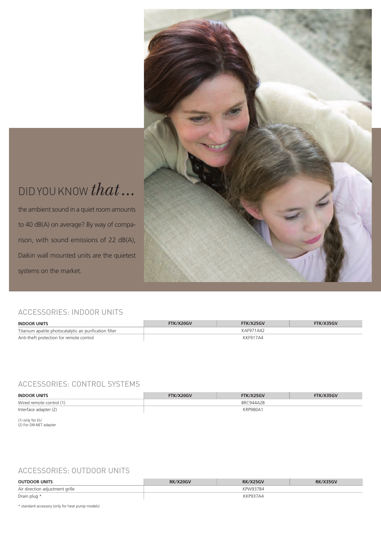# DID YOU KNOW *that*...

the ambient sound in a quiet room amounts to 40 dB(A) on average? By way of comparison, with sound emissions of 22 dB(A), Daikin wall mounted units are the quietest systems on the market.

## ACCESSORIES: INDOOR UNITS

| <b>INDOOR UNITS</b>                                     | FTK/X20GV | FTK/X25GV | FTK/X35GV |
|---------------------------------------------------------|-----------|-----------|-----------|
| Titanium apatite photocatalytic air purification filter |           | KAF971A42 |           |
| Anti-theft protection for remote control                |           | KKF917A4  |           |

#### ACCESSORIES: CONTROL SYSTEMS

| <b>INDOOR UNITS</b>      | FTK/X20GV | FTK/X25GV       | FTK/X35GV |
|--------------------------|-----------|-----------------|-----------|
| Wired remote control (1) |           | BRC944A2B       |           |
| Interface adapter (2)    |           | <b>KRP980A1</b> |           |

(1) only for EU (2) For DIII-NET adapter

### ACCESSORIES: OUTDOOR UNITS

| <b>OUTDOOR UNITS</b>            | RK/X20GV | $\frac{7}{25}$ GV | <b>RK/X35GV</b> |
|---------------------------------|----------|-------------------|-----------------|
| Air direction adjustment grille |          | KPW937B4          |                 |
| Drain plug *                    |          | KP937A4           |                 |

\* standard accessory (only for heat pump models)